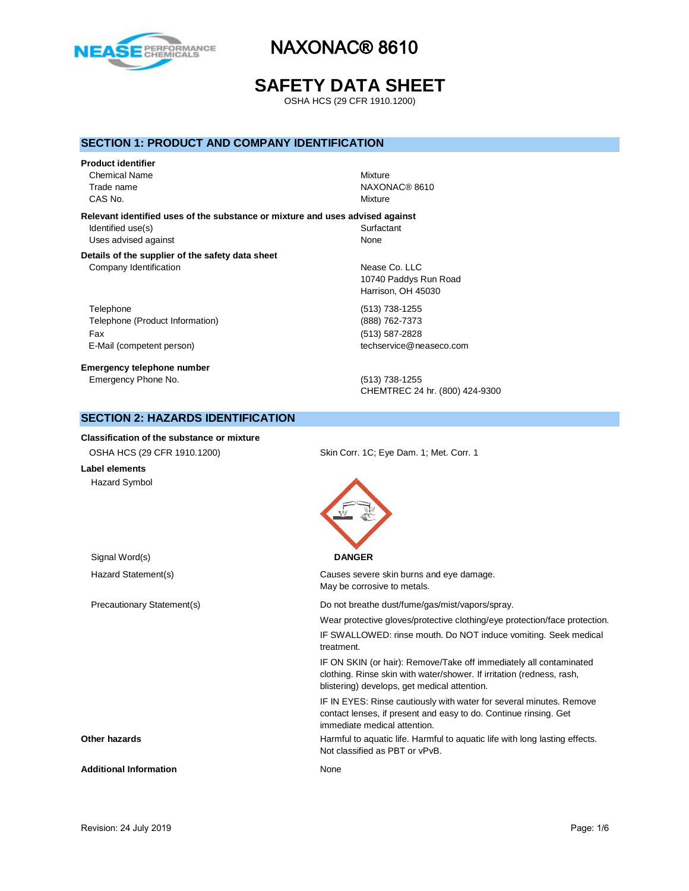

# **SAFETY DATA SHEET**

OSHA HCS (29 CFR 1910.1200)

## **SECTION 1: PRODUCT AND COMPANY IDENTIFICATION**

# **Product identifier** Chemical Name Mixture

CAS No. 2008 2012 2013 2014 2015 2016 2017 2018 2019 2014 2017 2018 2019 2017 2018 2019 2017 2018 2019 2017 2018 2019 2019 2019 2017 2018 2019 2017 2018 2019 2019 2017 2018 2019 2019 2017 2018 2019 2019 2017 2017 2017 2017

Trade name NAXONAC® 8610

### **Relevant identified uses of the substance or mixture and uses advised against**

Identified use(s) Surfactant Uses advised against None

#### **Details of the supplier of the safety data sheet** Company Identification **Nease Co.** LLC

Telephone (513) 738-1255 Telephone (Product Information) (888) 762-7373 Fax (513) 587-2828 E-Mail (competent person) example a second techservice@neaseco.com

**Emergency telephone number** Emergency Phone No. (513) 738-1255

10740 Paddys Run Road Harrison, OH 45030

CHEMTREC 24 hr. (800) 424-9300

# **SECTION 2: HAZARDS IDENTIFICATION**

#### **Classification of the substance or mixture**

| OSHA HCS (29 CFR 1910.1200)   | Skin Corr. 1C; Eye Dam. 1; Met. Corr. 1                                                                                                                                                     |
|-------------------------------|---------------------------------------------------------------------------------------------------------------------------------------------------------------------------------------------|
| Label elements                |                                                                                                                                                                                             |
| <b>Hazard Symbol</b>          |                                                                                                                                                                                             |
| Signal Word(s)                | <b>DANGER</b>                                                                                                                                                                               |
| Hazard Statement(s)           | Causes severe skin burns and eye damage.<br>May be corrosive to metals.                                                                                                                     |
| Precautionary Statement(s)    | Do not breathe dust/fume/gas/mist/vapors/spray.                                                                                                                                             |
|                               | Wear protective gloves/protective clothing/eye protection/face protection.                                                                                                                  |
|                               | IF SWALLOWED: rinse mouth. Do NOT induce vomiting. Seek medical<br>treatment.                                                                                                               |
|                               | IF ON SKIN (or hair): Remove/Take off immediately all contaminated<br>clothing. Rinse skin with water/shower. If irritation (redness, rash,<br>blistering) develops, get medical attention. |
|                               | IF IN EYES: Rinse cautiously with water for several minutes. Remove<br>contact lenses, if present and easy to do. Continue rinsing. Get<br>immediate medical attention.                     |
| Other hazards                 | Harmful to aquatic life. Harmful to aquatic life with long lasting effects.<br>Not classified as PBT or vPvB.                                                                               |
| <b>Additional Information</b> | None                                                                                                                                                                                        |
|                               |                                                                                                                                                                                             |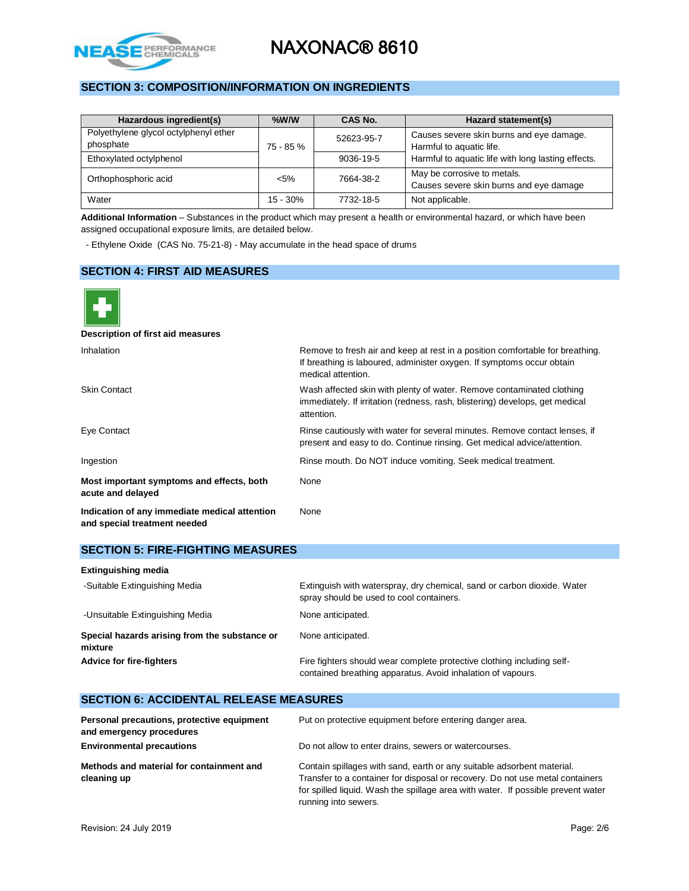

# **SECTION 3: COMPOSITION/INFORMATION ON INGREDIENTS**

| Hazardous ingredient(s)                            | $%$ W/W    | CAS No.    | Hazard statement(s)                                                    |
|----------------------------------------------------|------------|------------|------------------------------------------------------------------------|
| Polyethylene glycol octylphenyl ether<br>phosphate | 75 - 85 %  | 52623-95-7 | Causes severe skin burns and eye damage.<br>Harmful to aquatic life.   |
| Ethoxylated octylphenol                            |            | 9036-19-5  | Harmful to aquatic life with long lasting effects.                     |
| Orthophosphoric acid                               | $< 5\%$    | 7664-38-2  | May be corrosive to metals.<br>Causes severe skin burns and eye damage |
| Water                                              | $15 - 30%$ | 7732-18-5  | Not applicable.                                                        |

**Additional Information** – Substances in the product which may present a health or environmental hazard, or which have been assigned occupational exposure limits, are detailed below.

- Ethylene Oxide (CAS No. 75-21-8) - May accumulate in the head space of drums

## **SECTION 4: FIRST AID MEASURES**



**Description of first aid measures**

| <b>Inhalation</b>                                                             | Remove to fresh air and keep at rest in a position comfortable for breathing.<br>If breathing is laboured, administer oxygen. If symptoms occur obtain<br>medical attention. |
|-------------------------------------------------------------------------------|------------------------------------------------------------------------------------------------------------------------------------------------------------------------------|
| <b>Skin Contact</b>                                                           | Wash affected skin with plenty of water. Remove contaminated clothing<br>immediately. If irritation (redness, rash, blistering) develops, get medical<br>attention.          |
| Eye Contact                                                                   | Rinse cautiously with water for several minutes. Remove contact lenses, if<br>present and easy to do. Continue rinsing. Get medical advice/attention.                        |
| Ingestion                                                                     | Rinse mouth. Do NOT induce vomiting. Seek medical treatment.                                                                                                                 |
| Most important symptoms and effects, both<br>acute and delayed                | None                                                                                                                                                                         |
| Indication of any immediate medical attention<br>and special treatment needed | None                                                                                                                                                                         |

## **SECTION 5: FIRE-FIGHTING MEASURES**

| <b>Extinguishing media</b>                               |                                                                                                                                       |
|----------------------------------------------------------|---------------------------------------------------------------------------------------------------------------------------------------|
| -Suitable Extinguishing Media                            | Extinguish with waterspray, dry chemical, sand or carbon dioxide. Water<br>spray should be used to cool containers.                   |
| -Unsuitable Extinguishing Media                          | None anticipated.                                                                                                                     |
| Special hazards arising from the substance or<br>mixture | None anticipated.                                                                                                                     |
| <b>Advice for fire-fighters</b>                          | Fire fighters should wear complete protective clothing including self-<br>contained breathing apparatus. Avoid inhalation of vapours. |

# **SECTION 6: ACCIDENTAL RELEASE MEASURES**

| Personal precautions, protective equipment<br>and emergency procedures | Put on protective equipment before entering danger area.                                                                                                                                                                                                            |
|------------------------------------------------------------------------|---------------------------------------------------------------------------------------------------------------------------------------------------------------------------------------------------------------------------------------------------------------------|
| <b>Environmental precautions</b>                                       | Do not allow to enter drains, sewers or watercourses.                                                                                                                                                                                                               |
| Methods and material for containment and<br>cleaning up                | Contain spillages with sand, earth or any suitable adsorbent material.<br>Transfer to a container for disposal or recovery. Do not use metal containers<br>for spilled liquid. Wash the spillage area with water. If possible prevent water<br>running into sewers. |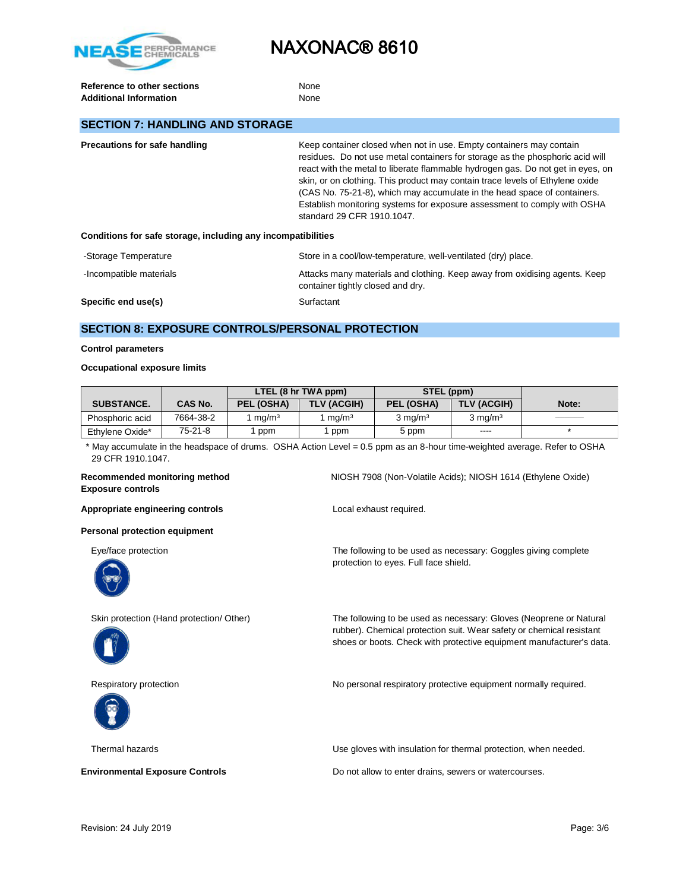

**Reference to other sections** None Additional Information **None** None

# **SECTION 7: HANDLING AND STORAGE**

| Precautions for safe handling                                | Keep container closed when not in use. Empty containers may contain<br>residues. Do not use metal containers for storage as the phosphoric acid will<br>react with the metal to liberate flammable hydrogen gas. Do not get in eyes, on<br>skin, or on clothing. This product may contain trace levels of Ethylene oxide<br>(CAS No. 75-21-8), which may accumulate in the head space of containers.<br>Establish monitoring systems for exposure assessment to comply with OSHA |
|--------------------------------------------------------------|----------------------------------------------------------------------------------------------------------------------------------------------------------------------------------------------------------------------------------------------------------------------------------------------------------------------------------------------------------------------------------------------------------------------------------------------------------------------------------|
|                                                              | standard 29 CFR 1910.1047.                                                                                                                                                                                                                                                                                                                                                                                                                                                       |
| Conditions for safe storage, including any incompatibilities |                                                                                                                                                                                                                                                                                                                                                                                                                                                                                  |

| -Storage Temperature    | Store in a cool/low-temperature, well-ventilated (dry) place.                                                   |
|-------------------------|-----------------------------------------------------------------------------------------------------------------|
| -Incompatible materials | Attacks many materials and clothing. Keep away from oxidising agents. Keep<br>container tightly closed and dry. |
| Specific end use(s)     | Surfactant                                                                                                      |

# **SECTION 8: EXPOSURE CONTROLS/PERSONAL PROTECTION**

#### **Control parameters**

#### **Occupational exposure limits**

|                   |                | LTEL (8 hr TWA ppm) |                    | STEL (ppm)         |                    |       |
|-------------------|----------------|---------------------|--------------------|--------------------|--------------------|-------|
| <b>SUBSTANCE.</b> | <b>CAS No.</b> | PEL (OSHA)          | <b>TLV (ACGIH)</b> | PEL (OSHA)         | TLV (ACGIH)        | Note: |
| Phosphoric acid   | 7664-38-2      | ma/m <sup>3</sup>   | ma/m <sup>3</sup>  | $3 \text{ ma/m}^3$ | $3 \text{ ma/m}^3$ |       |
| Ethylene Oxide*   | $75-21-8$      | ppm                 | ppm                | 5 ppm              | $- - - -$          |       |

 \* May accumulate in the headspace of drums. OSHA Action Level = 0.5 ppm as an 8-hour time-weighted average. Refer to OSHA 29 CFR 1910.1047.

### **Recommended monitoring method** NIOSH 7908 (Non-Volatile Acids); NIOSH 1614 (Ethylene Oxide) **Exposure controls**

Appropriate engineering controls **Appropriate engineering controls Local exhaust required.** 

**Personal protection equipment**

Eye/face protection The following to be used as necessary: Goggles giving complete



protection to eyes. Full face shield.



Skin protection (Hand protection/ Other) The following to be used as necessary: Gloves (Neoprene or Natural rubber). Chemical protection suit. Wear safety or chemical resistant shoes or boots. Check with protective equipment manufacturer's data.



Respiratory protection **No personal respiratory protective equipment normally required.** 

Thermal hazards Use gloves with insulation for thermal protection, when needed.

**Environmental Exposure Controls Exposure Controls Do not allow to enter drains, sewers or watercourses.**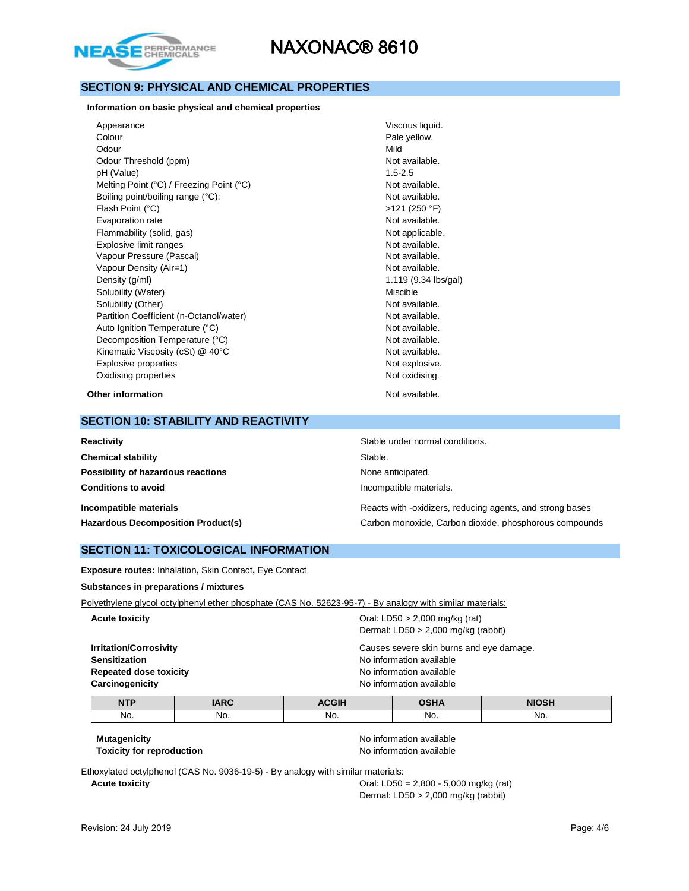

# **SECTION 9: PHYSICAL AND CHEMICAL PROPERTIES**

**Information on basic physical and chemical properties**

| Appearance                               | Viscous liquid.      |
|------------------------------------------|----------------------|
| Colour                                   | Pale yellow.         |
| Odour                                    | Mild                 |
| Odour Threshold (ppm)                    | Not available.       |
| pH (Value)                               | $1.5 - 2.5$          |
| Melting Point (°C) / Freezing Point (°C) | Not available.       |
| Boiling point/boiling range (°C):        | Not available.       |
| Flash Point (°C)                         | $>121$ (250 °F)      |
| Evaporation rate                         | Not available.       |
| Flammability (solid, gas)                | Not applicable.      |
| Explosive limit ranges                   | Not available.       |
| Vapour Pressure (Pascal)                 | Not available.       |
| Vapour Density (Air=1)                   | Not available.       |
| Density (q/ml)                           | 1.119 (9.34 lbs/gal) |
| Solubility (Water)                       | Miscible             |
| Solubility (Other)                       | Not available.       |
| Partition Coefficient (n-Octanol/water)  | Not available.       |
| Auto Ignition Temperature (°C)           | Not available.       |
| Decomposition Temperature (°C)           | Not available.       |
| Kinematic Viscosity (cSt) @ 40°C         | Not available.       |
| Explosive properties                     | Not explosive.       |
| Oxidising properties                     | Not oxidising.       |
| Other information                        | Not available.       |

### **SECTION 10: STABILITY AND REACTIVITY**

| Reactivity                                | Stable under normal conditions.                           |
|-------------------------------------------|-----------------------------------------------------------|
| <b>Chemical stability</b>                 | Stable.                                                   |
| Possibility of hazardous reactions        | None anticipated.                                         |
| <b>Conditions to avoid</b>                | Incompatible materials.                                   |
| Incompatible materials                    | Reacts with -oxidizers, reducing agents, and strong bases |
| <b>Hazardous Decomposition Product(s)</b> | Carbon monoxide, Carbon dioxide, phosphorous compounds    |

### **SECTION 11: TOXICOLOGICAL INFORMATION**

**Exposure routes:** Inhalation**,** Skin Contact**,** Eye Contact

**Substances in preparations / mixtures**

Polyethylene glycol octylphenyl ether phosphate (CAS No. 52623-95-7) - By analogy with similar materials:

| <b>NTD</b>                    | IADO                                     | $A \cap \cap H$                                                           | $\sim$ $\sim$ | <b>NILOCIL</b> |  |
|-------------------------------|------------------------------------------|---------------------------------------------------------------------------|---------------|----------------|--|
| Carcinogenicity               |                                          | No information available                                                  |               |                |  |
| <b>Repeated dose toxicity</b> |                                          | No information available                                                  |               |                |  |
| <b>Sensitization</b>          |                                          | No information available                                                  |               |                |  |
| <b>Irritation/Corrosivity</b> | Causes severe skin burns and eye damage. |                                                                           |               |                |  |
| <b>Acute toxicity</b>         |                                          | Oral: LD50 $> 2,000$ mg/kg (rat)<br>Dermal: $LD50 > 2,000$ mg/kg (rabbit) |               |                |  |

| <b>NIP</b> | _____ |     |     | .   |
|------------|-------|-----|-----|-----|
| No.        | No.   | NO. | No. | No. |
|            |       |     |     |     |

**Mutagenicity Mutagenicity No information available Mutagenicity Mutagenicity Toxicity for reproduction**  $\qquad \qquad \qquad$  No information available

Ethoxylated octylphenol (CAS No. 9036-19-5) - By analogy with similar materials:

**Acute toxicity Cause 2,800 - 5,000 mg/kg (rat) Oral: LD50 = 2,800 - 5,000 mg/kg (rat)** Dermal: LD50 > 2,000 mg/kg (rabbit)

 $\overline{\phantom{a}}$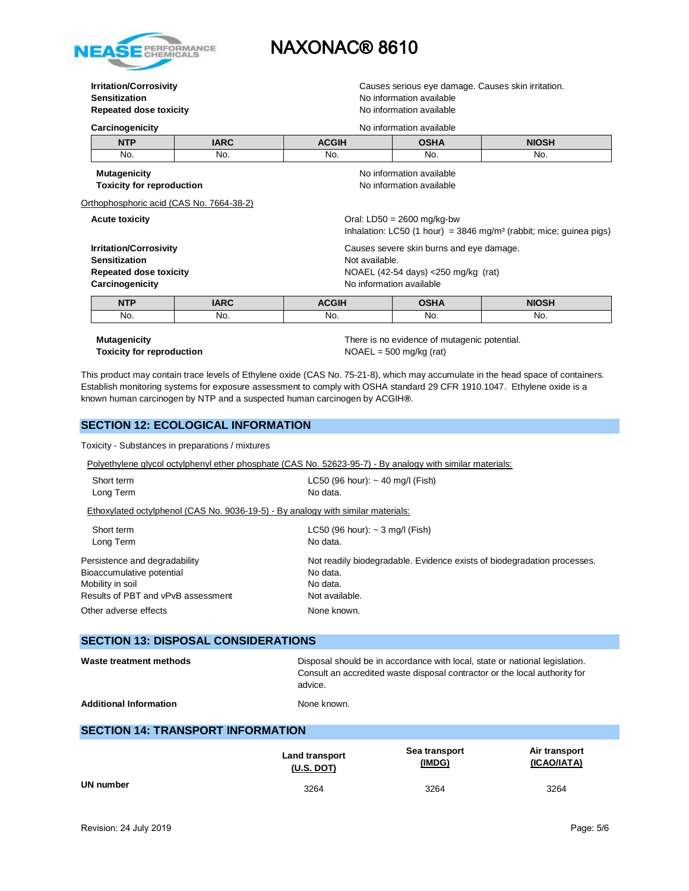

# **Sensitization Sensitization No information available Repeated dose toxicity** No information available

**Irritation/Corrosivity Causes serious example 20 and 20 and 20 and 20 and 20 and 20 and 20 and 20 and 20 and 20 and 20 and 20 and 20 and 20 and 20 and 20 and 20 and 20 and 20 and 20 and 20 and 20 and 20 and 20 and 20 an** 

| Carcinogenicity                          |                                                                           | No information available                                                                                         |                          |              |  |
|------------------------------------------|---------------------------------------------------------------------------|------------------------------------------------------------------------------------------------------------------|--------------------------|--------------|--|
| <b>NTP</b>                               | <b>IARC</b>                                                               | <b>ACGIH</b>                                                                                                     | <b>OSHA</b>              | <b>NIOSH</b> |  |
| No.                                      | No.                                                                       | No.                                                                                                              | No.                      | No.          |  |
| <b>Mutagenicity</b>                      |                                                                           |                                                                                                                  | No information available |              |  |
| <b>Toxicity for reproduction</b>         |                                                                           | No information available                                                                                         |                          |              |  |
| Orthophosphoric acid (CAS No. 7664-38-2) |                                                                           |                                                                                                                  |                          |              |  |
| <b>Acute toxicity</b>                    |                                                                           | Oral: $LD50 = 2600$ mg/kg-bw<br>Inhalation: LC50 (1 hour) = $3846$ mg/m <sup>3</sup> (rabbit; mice; quinea pigs) |                          |              |  |
|                                          | <b>Irritation/Corrosivity</b><br>Causes severe skin burns and eye damage. |                                                                                                                  |                          |              |  |
| <b>Sensitization</b>                     |                                                                           | Not available.                                                                                                   |                          |              |  |
| <b>Repeated dose toxicity</b>            |                                                                           | NOAEL (42-54 days) <250 mg/kg (rat)                                                                              |                          |              |  |
| Carcinogenicity                          |                                                                           | No information available                                                                                         |                          |              |  |
| <b>NTP</b>                               | <b>IARC</b>                                                               | <b>ACGIH</b>                                                                                                     | <b>OSHA</b>              | <b>NIOSH</b> |  |
| No.                                      | No.                                                                       | No.                                                                                                              | No.                      | No.          |  |
|                                          |                                                                           |                                                                                                                  |                          |              |  |

**Toxicity for reproduction** NOAEL = 500 mg/kg (rat)

**Mutagenicity** There is no evidence of mutagenic potential.

This product may contain trace levels of Ethylene oxide (CAS No. 75-21-8), which may accumulate in the head space of containers. Establish monitoring systems for exposure assessment to comply with OSHA standard 29 CFR 1910.1047. Ethylene oxide is a known human carcinogen by NTP and a suspected human carcinogen by ACGIH**®**.

## **SECTION 12: ECOLOGICAL INFORMATION**

Toxicity - Substances in preparations / mixtures

Polyethylene glycol octylphenyl ether phosphate (CAS No. 52623-95-7) - By analogy with similar materials:

| $LC50$ (96 hour): $\sim$ 40 mg/l (Fish)<br>No data.                              |
|----------------------------------------------------------------------------------|
| Ethoxylated octylphenol (CAS No. 9036-19-5) - By analogy with similar materials: |
| $LC50$ (96 hour): $\sim$ 3 mg/l (Fish)                                           |
| No data.                                                                         |
| Not readily biodegradable. Evidence exists of biodegradation processes.          |
| No data.                                                                         |
| No data.                                                                         |
| Not available.                                                                   |
| None known.                                                                      |
|                                                                                  |

## **SECTION 13: DISPOSAL CONSIDERATIONS**

| Waste treatment methods       | Disposal should be in accordance with local, state or national legislation.<br>Consult an accredited waste disposal contractor or the local authority for<br>advice. |
|-------------------------------|----------------------------------------------------------------------------------------------------------------------------------------------------------------------|
| <b>Additional Information</b> | None known.                                                                                                                                                          |

## **SECTION 14: TRANSPORT INFORMATION**

|           | <b>Land transport</b> | Sea transport | Air transport |
|-----------|-----------------------|---------------|---------------|
|           | $(U.S.$ DOT)          | (IMDG)        | (ICAO/IATA)   |
| UN number | 3264                  | 3264          | 3264          |